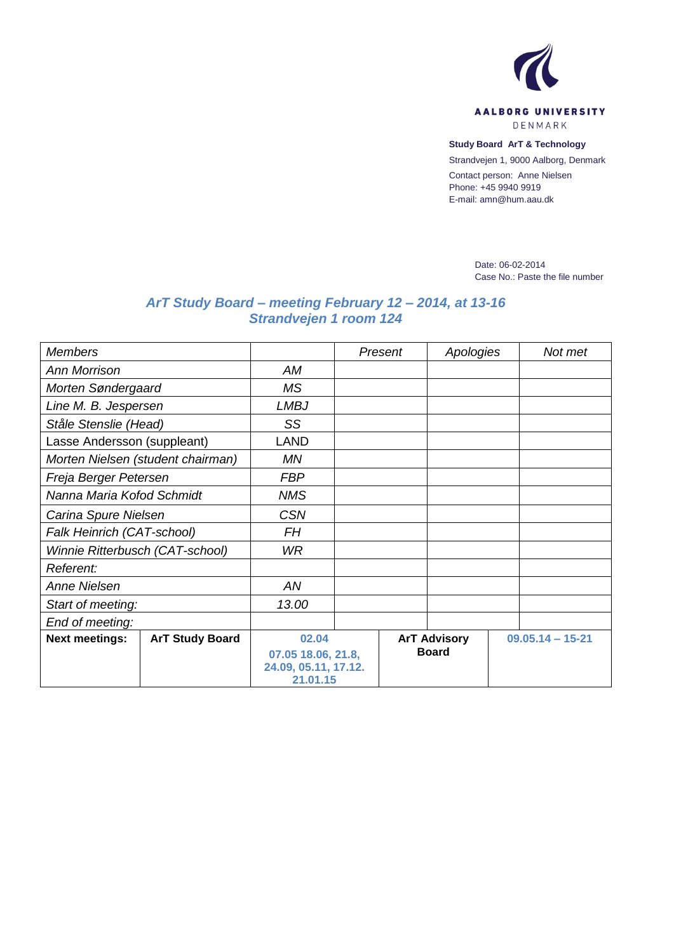

**Study Board ArT & Technology** Strandvejen 1, 9000 Aalborg, Denmark

Contact person: Anne Nielsen Phone: +45 9940 9919 E-mail: amn@hum.aau.dk

> Date: 06-02-2014 Case No.: Paste the file number

## *ArT Study Board – meeting February 12 – 2014, at 13-16 Strandvejen 1 room 124*

| <b>Members</b>                    |                        |                                  |  | Present             | Apologies |                      | Not met |
|-----------------------------------|------------------------|----------------------------------|--|---------------------|-----------|----------------------|---------|
| <b>Ann Morrison</b>               |                        | AM                               |  |                     |           |                      |         |
| Morten Søndergaard                |                        | <b>MS</b>                        |  |                     |           |                      |         |
| Line M. B. Jespersen              |                        | <b>LMBJ</b>                      |  |                     |           |                      |         |
| Ståle Stenslie (Head)             |                        | SS                               |  |                     |           |                      |         |
| Lasse Andersson (suppleant)       |                        | LAND                             |  |                     |           |                      |         |
| Morten Nielsen (student chairman) |                        | MN                               |  |                     |           |                      |         |
| Freja Berger Petersen             |                        | <b>FBP</b>                       |  |                     |           |                      |         |
| Nanna Maria Kofod Schmidt         |                        | <b>NMS</b>                       |  |                     |           |                      |         |
| Carina Spure Nielsen              |                        | <b>CSN</b>                       |  |                     |           |                      |         |
| Falk Heinrich (CAT-school)        |                        | <b>FH</b>                        |  |                     |           |                      |         |
| Winnie Ritterbusch (CAT-school)   |                        | WR.                              |  |                     |           |                      |         |
| Referent:                         |                        |                                  |  |                     |           |                      |         |
| <b>Anne Nielsen</b>               |                        | AN                               |  |                     |           |                      |         |
| Start of meeting:                 |                        | 13.00                            |  |                     |           |                      |         |
| End of meeting:                   |                        |                                  |  |                     |           |                      |         |
| <b>Next meetings:</b>             | <b>ArT Study Board</b> | 02.04                            |  | <b>ArT Advisory</b> |           | $09.05.14 - 15 - 21$ |         |
|                                   |                        | 07.05 18.06, 21.8,               |  | <b>Board</b>        |           |                      |         |
|                                   |                        | 24.09, 05.11, 17.12.<br>21.01.15 |  |                     |           |                      |         |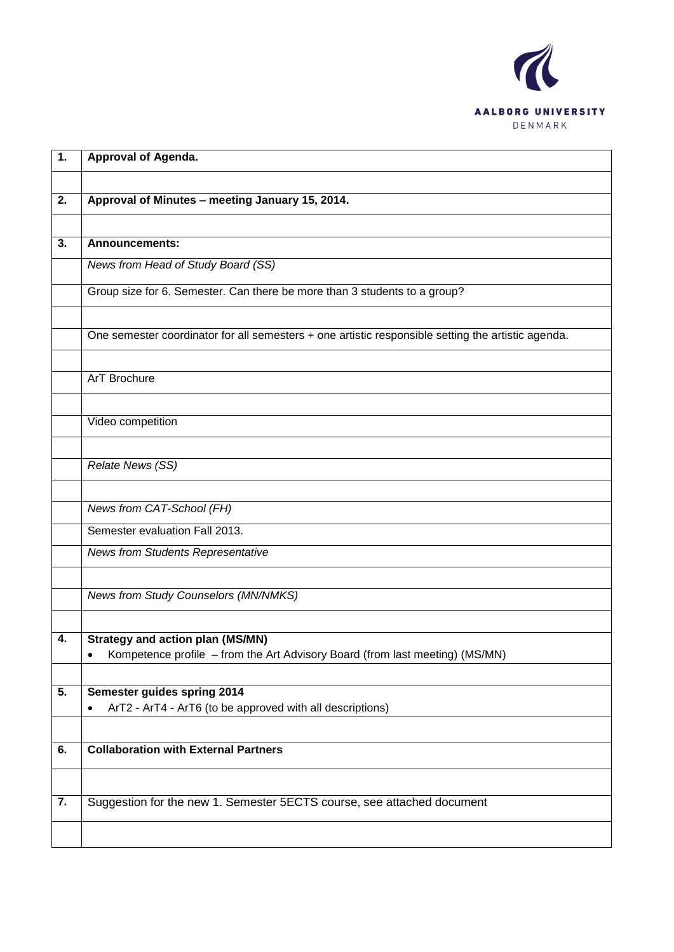

| 1. | <b>Approval of Agenda.</b>                                                                                              |
|----|-------------------------------------------------------------------------------------------------------------------------|
|    |                                                                                                                         |
| 2. | Approval of Minutes - meeting January 15, 2014.                                                                         |
|    |                                                                                                                         |
| 3. | <b>Announcements:</b>                                                                                                   |
|    | News from Head of Study Board (SS)                                                                                      |
|    | Group size for 6. Semester. Can there be more than 3 students to a group?                                               |
|    | One semester coordinator for all semesters + one artistic responsible setting the artistic agenda.                      |
|    | ArT Brochure                                                                                                            |
|    | Video competition                                                                                                       |
|    | <b>Relate News (SS)</b>                                                                                                 |
|    | News from CAT-School (FH)                                                                                               |
|    | Semester evaluation Fall 2013.                                                                                          |
|    | <b>News from Students Representative</b>                                                                                |
|    | News from Study Counselors (MN/NMKS)                                                                                    |
|    |                                                                                                                         |
| 4. | <b>Strategy and action plan (MS/MN)</b><br>Kompetence profile - from the Art Advisory Board (from last meeting) (MS/MN) |
| 5. | Semester guides spring 2014<br>ArT2 - ArT4 - ArT6 (to be approved with all descriptions)<br>$\bullet$                   |
| 6. | <b>Collaboration with External Partners</b>                                                                             |
| 7. | Suggestion for the new 1. Semester 5ECTS course, see attached document                                                  |
|    |                                                                                                                         |